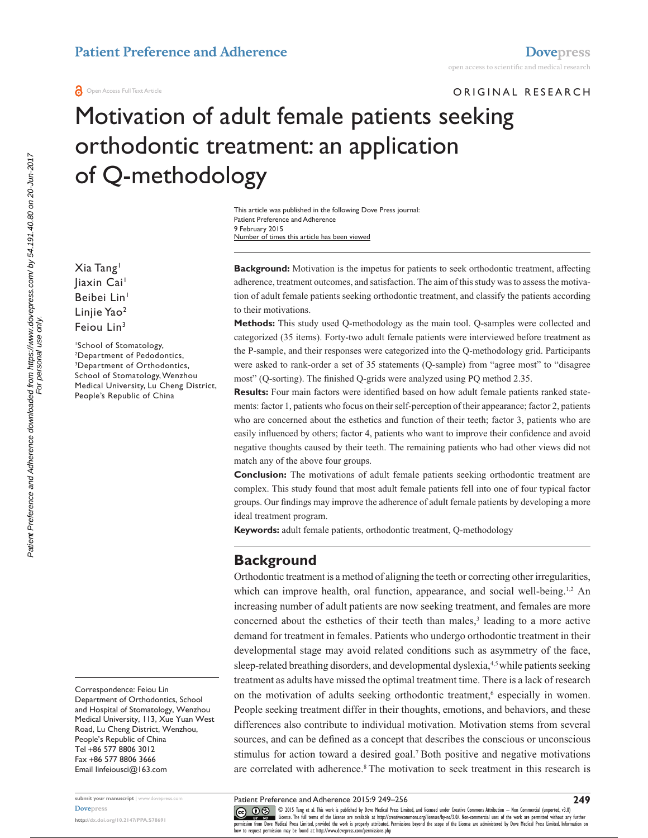ORIGINAL RESEARCH

# Motivation of adult female patients seeking orthodontic treatment: an application of Q-methodology

This article was published in the following Dove Press journal: Patient Preference and Adherence 9 February 2015 Number of times this article has been viewed

Xia Tang1 liaxin Cai<sup>1</sup> Beibei Lin<sup>1</sup> Linjie Yao2 Feiou Lin<sup>3</sup>

<sup>1</sup>School of Stomatology,<br><sup>2</sup>Department of Pedodol Department of Pedodontics, 3 Department of Orthodontics, School of Stomatology, Wenzhou Medical University, Lu Cheng District, People's Republic of China

Correspondence: Feiou Lin Department of Orthodontics, School and Hospital of Stomatology, Wenzhou Medical University, 113, Xue Yuan West Road, Lu Cheng District, Wenzhou, People's Republic of China Tel +86 577 8806 3012 Fax +86 577 8806 3666 Email [linfeiousci@163.com](mailto:linfeiousci@163.com)

**submit your manuscript** | <www.dovepress.com> **[Dovepress](www.dovepress.com)**

**<http://dx.doi.org/10.2147/PPA.S78691>**

**Background:** Motivation is the impetus for patients to seek orthodontic treatment, affecting adherence, treatment outcomes, and satisfaction. The aim of this study was to assess the motivation of adult female patients seeking orthodontic treatment, and classify the patients according to their motivations.

**Methods:** This study used Q-methodology as the main tool. Q-samples were collected and categorized (35 items). Forty-two adult female patients were interviewed before treatment as the P-sample, and their responses were categorized into the Q-methodology grid. Participants were asked to rank-order a set of 35 statements (Q-sample) from "agree most" to "disagree most" (Q-sorting). The finished Q-grids were analyzed using PQ method 2.35.

**Results:** Four main factors were identified based on how adult female patients ranked statements: factor 1, patients who focus on their self-perception of their appearance; factor 2, patients who are concerned about the esthetics and function of their teeth; factor 3, patients who are easily influenced by others; factor 4, patients who want to improve their confidence and avoid negative thoughts caused by their teeth. The remaining patients who had other views did not match any of the above four groups.

**Conclusion:** The motivations of adult female patients seeking orthodontic treatment are complex. This study found that most adult female patients fell into one of four typical factor groups. Our findings may improve the adherence of adult female patients by developing a more ideal treatment program.

**Keywords:** adult female patients, orthodontic treatment, Q-methodology

## **Background**

Orthodontic treatment is a method of aligning the teeth or correcting other irregularities, which can improve health, oral function, appearance, and social well-being.<sup>1,2</sup> An increasing number of adult patients are now seeking treatment, and females are more concerned about the esthetics of their teeth than males,<sup>3</sup> leading to a more active demand for treatment in females. Patients who undergo orthodontic treatment in their developmental stage may avoid related conditions such as asymmetry of the face, sleep-related breathing disorders, and developmental dyslexia,4,5 while patients seeking treatment as adults have missed the optimal treatment time. There is a lack of research on the motivation of adults seeking orthodontic treatment,<sup>6</sup> especially in women. People seeking treatment differ in their thoughts, emotions, and behaviors, and these differences also contribute to individual motivation. Motivation stems from several sources, and can be defined as a concept that describes the conscious or unconscious stimulus for action toward a desired goal.7 Both positive and negative motivations are correlated with adherence.<sup>8</sup> The motivation to seek treatment in this research is

CO ODIS Tang et al. This work is published by Dove Medical Press Limited, and licensed under Creative Commons Attribution - Non Commercial (unported, v3.0)<br> [permission from Dove M](http://www.dovepress.com/permissions.php)edical Press Limited, provided the work is

how to request permission may be found at: http://www.dovepress.com/permissions.php

**249**

For personal use only.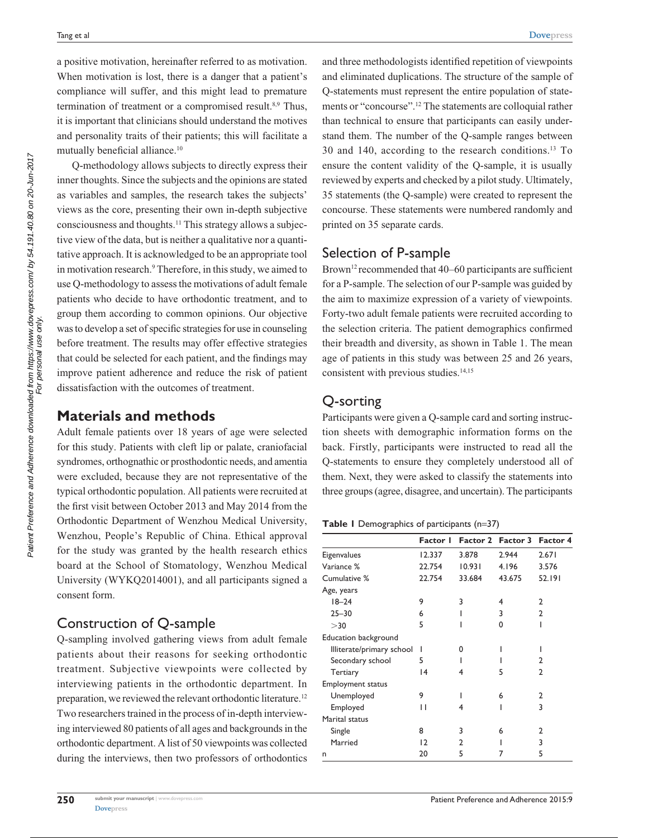a positive motivation, hereinafter referred to as motivation. When motivation is lost, there is a danger that a patient's compliance will suffer, and this might lead to premature termination of treatment or a compromised result.<sup>8,9</sup> Thus, it is important that clinicians should understand the motives and personality traits of their patients; this will facilitate a mutually beneficial alliance.10

Q-methodology allows subjects to directly express their inner thoughts. Since the subjects and the opinions are stated as variables and samples, the research takes the subjects' views as the core, presenting their own in-depth subjective consciousness and thoughts.11 This strategy allows a subjective view of the data, but is neither a qualitative nor a quantitative approach. It is acknowledged to be an appropriate tool in motivation research.<sup>9</sup> Therefore, in this study, we aimed to use Q-methodology to assess the motivations of adult female patients who decide to have orthodontic treatment, and to group them according to common opinions. Our objective was to develop a set of specific strategies for use in counseling before treatment. The results may offer effective strategies that could be selected for each patient, and the findings may improve patient adherence and reduce the risk of patient dissatisfaction with the outcomes of treatment.

## **Materials and methods**

Adult female patients over 18 years of age were selected for this study. Patients with cleft lip or palate, craniofacial syndromes, orthognathic or prosthodontic needs, and amentia were excluded, because they are not representative of the typical orthodontic population. All patients were recruited at the first visit between October 2013 and May 2014 from the Orthodontic Department of Wenzhou Medical University, Wenzhou, People's Republic of China. Ethical approval for the study was granted by the health research ethics board at the School of Stomatology, Wenzhou Medical University (WYKQ2014001), and all participants signed a consent form.

# Construction of Q-sample

Q-sampling involved gathering views from adult female patients about their reasons for seeking orthodontic treatment. Subjective viewpoints were collected by interviewing patients in the orthodontic department. In preparation, we reviewed the relevant orthodontic literature.<sup>12</sup> Two researchers trained in the process of in-depth interviewing interviewed 80 patients of all ages and backgrounds in the orthodontic department. A list of 50 viewpoints was collected during the interviews, then two professors of orthodontics

and three methodologists identified repetition of viewpoints and eliminated duplications. The structure of the sample of Q-statements must represent the entire population of statements or "concourse".12 The statements are colloquial rather than technical to ensure that participants can easily understand them. The number of the Q-sample ranges between 30 and 140, according to the research conditions.13 To ensure the content validity of the Q-sample, it is usually reviewed by experts and checked by a pilot study. Ultimately, 35 statements (the Q-sample) were created to represent the concourse. These statements were numbered randomly and printed on 35 separate cards.

# Selection of P-sample

Brown<sup>12</sup> recommended that 40–60 participants are sufficient for a P-sample. The selection of our P-sample was guided by the aim to maximize expression of a variety of viewpoints. Forty-two adult female patients were recruited according to the selection criteria. The patient demographics confirmed their breadth and diversity, as shown in Table 1. The mean age of patients in this study was between 25 and 26 years, consistent with previous studies.<sup>14,15</sup>

# Q-sorting

Participants were given a Q-sample card and sorting instruction sheets with demographic information forms on the back. Firstly, participants were instructed to read all the Q-statements to ensure they completely understood all of them. Next, they were asked to classify the statements into three groups (agree, disagree, and uncertain). The participants

**Table 1** Demographics of participants (n=37)

|                           | Factor I |        | Factor 2 Factor 3 | <b>Factor 4</b> |
|---------------------------|----------|--------|-------------------|-----------------|
| Eigenvalues               | 12.337   | 3.878  | 2.944             | 2.671           |
| Variance %                | 22.754   | 10.931 | 4.196             | 3.576           |
| Cumulative %              | 22.754   | 33.684 | 43.675            | 52.191          |
| Age, years                |          |        |                   |                 |
| $18 - 24$                 | 9        | 3      | 4                 | 2               |
| $25 - 30$                 | 6        |        | 3                 | $\mathcal{P}$   |
| >30                       | 5        |        | 0                 |                 |
| Education background      |          |        |                   |                 |
| Illiterate/primary school | ı        | 0      |                   |                 |
| Secondary school          | 5        |        |                   | 2               |
| Tertiary                  | 4        | 4      | 5                 | C.              |
| <b>Employment status</b>  |          |        |                   |                 |
| Unemployed                | 9        |        | 6                 | $\mathcal{P}$   |
| Employed                  | П        | 4      |                   | 3               |
| Marital status            |          |        |                   |                 |
| Single                    | 8        | 3      | 6                 | $\mathcal{P}$   |
| Married                   | 12       | 2      |                   | 3               |
| n                         | 20       | 5      |                   | 5               |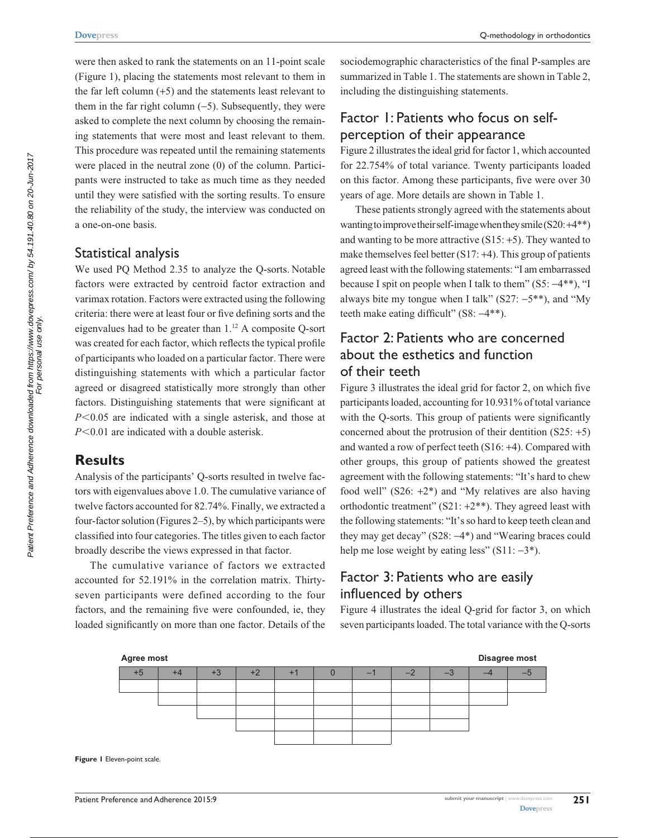were then asked to rank the statements on an 11-point scale (Figure 1), placing the statements most relevant to them in the far left column (+5) and the statements least relevant to them in the far right column  $(-5)$ . Subsequently, they were asked to complete the next column by choosing the remaining statements that were most and least relevant to them. This procedure was repeated until the remaining statements were placed in the neutral zone (0) of the column. Participants were instructed to take as much time as they needed until they were satisfied with the sorting results. To ensure the reliability of the study, the interview was conducted on a one-on-one basis.

## Statistical analysis

We used PQ Method 2.35 to analyze the Q-sorts. Notable factors were extracted by centroid factor extraction and varimax rotation. Factors were extracted using the following criteria: there were at least four or five defining sorts and the eigenvalues had to be greater than 1.12 A composite Q-sort was created for each factor, which reflects the typical profile of participants who loaded on a particular factor. There were distinguishing statements with which a particular factor agreed or disagreed statistically more strongly than other factors. Distinguishing statements that were significant at *P*<0.05 are indicated with a single asterisk, and those at *P*<0.01 are indicated with a double asterisk.

## **Results**

Analysis of the participants' Q-sorts resulted in twelve factors with eigenvalues above 1.0. The cumulative variance of twelve factors accounted for 82.74%. Finally, we extracted a four-factor solution (Figures 2–5), by which participants were classified into four categories. The titles given to each factor broadly describe the views expressed in that factor.

The cumulative variance of factors we extracted accounted for 52.191% in the correlation matrix. Thirtyseven participants were defined according to the four factors, and the remaining five were confounded, ie, they loaded significantly on more than one factor. Details of the

sociodemographic characteristics of the final P-samples are summarized in Table 1. The statements are shown in Table 2, including the distinguishing statements.

# Factor 1: Patients who focus on selfperception of their appearance

Figure 2 illustrates the ideal grid for factor 1, which accounted for 22.754% of total variance. Twenty participants loaded on this factor. Among these participants, five were over 30 years of age. More details are shown in Table 1.

These patients strongly agreed with the statements about wanting to improve their self-image when they smile  $(S20: +4**)$ and wanting to be more attractive  $(S15; +5)$ . They wanted to make themselves feel better (S17: +4). This group of patients agreed least with the following statements: "I am embarrassed because I spit on people when I talk to them"  $(S5: -4**)$ , "I always bite my tongue when I talk"  $(S27: -5**)$ , and "My teeth make eating difficult" (S8:  $-4**$ ).

## Factor 2: Patients who are concerned about the esthetics and function of their teeth

Figure 3 illustrates the ideal grid for factor 2, on which five participants loaded, accounting for 10.931% of total variance with the Q-sorts. This group of patients were significantly concerned about the protrusion of their dentition  $(S25: +5)$ and wanted a row of perfect teeth (S16: +4). Compared with other groups, this group of patients showed the greatest agreement with the following statements: "It's hard to chew food well"  $(S26: +2^*)$  and "My relatives are also having orthodontic treatment"  $(S21: +2^{**})$ . They agreed least with the following statements: "It's so hard to keep teeth clean and they may get decay" (S28: -4\*) and "Wearing braces could help me lose weight by eating less"  $(S11: -3^*)$ .

## Factor 3: Patients who are easily influenced by others

Figure 4 illustrates the ideal Q-grid for factor 3, on which seven participants loaded. The total variance with the Q-sorts



**Figure 1** Eleven-point scale.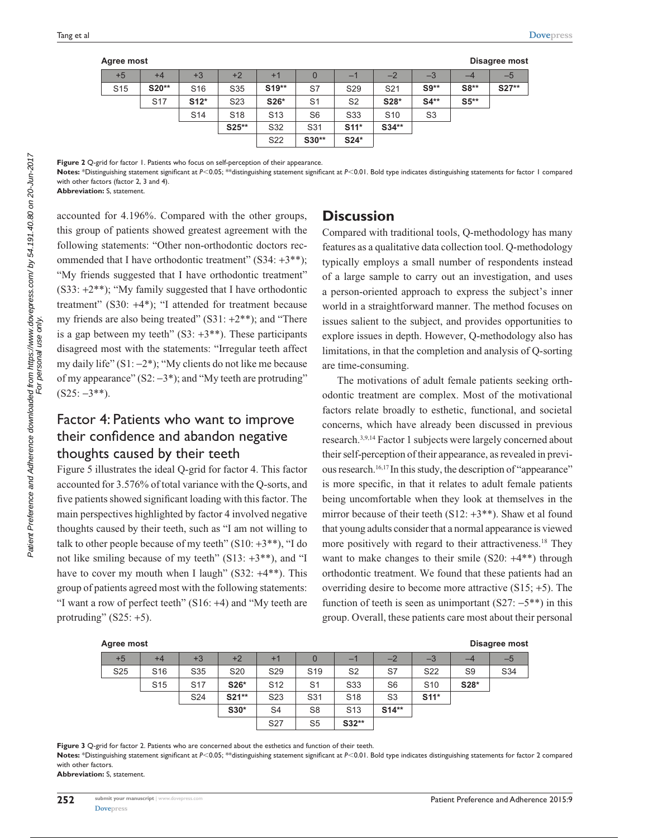| Agree most      |                 |                 |                 |                 |       |                 |                 |                |        | Disagree most |
|-----------------|-----------------|-----------------|-----------------|-----------------|-------|-----------------|-----------------|----------------|--------|---------------|
| $+5$            | $+4$            | $+3$            | $+2$            | $+1$            | O     | - 1             | $-2$            | $-3$           | -4     | $-5$          |
| S <sub>15</sub> | S20**           | S <sub>16</sub> | S35             | $S19**$         | S7    | S <sub>29</sub> | S <sub>21</sub> | $S9**$         | $S8**$ | $S27**$       |
|                 | S <sub>17</sub> | $S12*$          | S <sub>23</sub> | S26*            | S1    | S <sub>2</sub>  | S28*            | $S4**$         | $S5**$ |               |
|                 |                 | S <sub>14</sub> | S <sub>18</sub> | S <sub>13</sub> | S6    | S <sub>33</sub> | S <sub>10</sub> | S <sub>3</sub> |        |               |
|                 |                 |                 | S25**           | S32             | S31   | $S11*$          | $S34**$         |                |        |               |
|                 |                 |                 |                 | S <sub>22</sub> | S30** | $S24*$          |                 |                |        |               |

**Figure 2** Q-grid for factor 1. Patients who focus on self-perception of their appearance.

Notes: \*Distinguishing statement significant at *P*<0.05; \*\*distinguishing statement significant at *P*<0.01. Bold type indicates distinguishing statements for factor 1 compared with other factors (factor 2, 3 and 4).

**Abbreviation:** S, statement.

accounted for 4.196%. Compared with the other groups, this group of patients showed greatest agreement with the following statements: "Other non-orthodontic doctors recommended that I have orthodontic treatment" (S34: +3\*\*); "My friends suggested that I have orthodontic treatment"  $(S33: +2^{**})$ ; "My family suggested that I have orthodontic treatment" (S30: +4\*); "I attended for treatment because my friends are also being treated" (S31: +2\*\*); and "There is a gap between my teeth"  $(S3: +3**)$ . These participants disagreed most with the statements: "Irregular teeth affect my daily life"  $(S1: -2^*)$ ; "My clients do not like me because of my appearance"  $(S2: -3^*)$ ; and "My teeth are protruding"  $(S25: -3**).$ 

## Factor 4: Patients who want to improve their confidence and abandon negative thoughts caused by their teeth

Figure 5 illustrates the ideal Q-grid for factor 4. This factor accounted for 3.576% of total variance with the Q-sorts, and five patients showed significant loading with this factor. The main perspectives highlighted by factor 4 involved negative thoughts caused by their teeth, such as "I am not willing to talk to other people because of my teeth"  $(S10: +3**)$ , "I do not like smiling because of my teeth" (S13: +3\*\*), and "I have to cover my mouth when I laugh" (S32:  $+4**$ ). This group of patients agreed most with the following statements: "I want a row of perfect teeth" (S16: +4) and "My teeth are protruding"  $(S25: +5)$ .

## **Discussion**

Compared with traditional tools, Q-methodology has many features as a qualitative data collection tool. Q-methodology typically employs a small number of respondents instead of a large sample to carry out an investigation, and uses a person-oriented approach to express the subject's inner world in a straightforward manner. The method focuses on issues salient to the subject, and provides opportunities to explore issues in depth. However, Q-methodology also has limitations, in that the completion and analysis of Q-sorting are time-consuming.

The motivations of adult female patients seeking orthodontic treatment are complex. Most of the motivational factors relate broadly to esthetic, functional, and societal concerns, which have already been discussed in previous research.3,9,14 Factor 1 subjects were largely concerned about their self-perception of their appearance, as revealed in previous research.16,17 In this study, the description of "appearance" is more specific, in that it relates to adult female patients being uncomfortable when they look at themselves in the mirror because of their teeth  $(S12: +3**)$ . Shaw et al found that young adults consider that a normal appearance is viewed more positively with regard to their attractiveness.<sup>18</sup> They want to make changes to their smile  $(S20: +4^{**})$  through orthodontic treatment. We found that these patients had an overriding desire to become more attractive (S15; +5). The function of teeth is seen as unimportant  $(S27: -5^{**})$  in this group. Overall, these patients care most about their personal

| <b>Agree most</b> |                 |                 |                 |                 |                 |                 |                |                 |                | <b>Disagree most</b> |  |
|-------------------|-----------------|-----------------|-----------------|-----------------|-----------------|-----------------|----------------|-----------------|----------------|----------------------|--|
| $+5$              | $+4$            | $+3$            | $+2$            | $+1$            |                 | -               | $-2$           | $-3$            | -4             | $-5$                 |  |
| S <sub>25</sub>   | S <sub>16</sub> | S35             | S <sub>20</sub> | S <sub>29</sub> | S <sub>19</sub> | S <sub>2</sub>  | S7             | S <sub>22</sub> | S <sub>9</sub> | S34                  |  |
|                   | S <sub>15</sub> | S <sub>17</sub> | S26*            | S <sub>12</sub> | S <sub>1</sub>  | S <sub>33</sub> | S <sub>6</sub> | S <sub>10</sub> | S28*           |                      |  |
|                   |                 | S <sub>24</sub> | $S21**$         | S <sub>23</sub> | S31             | S <sub>18</sub> | S <sub>3</sub> | $S11*$          |                |                      |  |
|                   |                 |                 | $S30*$          | S <sub>4</sub>  | S <sub>8</sub>  | S <sub>13</sub> | $S14**$        |                 |                |                      |  |
|                   |                 |                 |                 | S <sub>27</sub> | S <sub>5</sub>  | $S32**$         |                |                 |                |                      |  |

**Figure 3** Q-grid for factor 2. Patients who are concerned about the esthetics and function of their teeth.

Notes: \*Distinguishing statement significant at *P*<0.05; \*\*distinguishing statement significant at *P*<0.01. Bold type indicates distinguishing statements for factor 2 compared with other factors. **Abbreviation:** S, statement.

Patient Preference and Adherence downloaded from https://www.dovepress.com/ by 54.191.40.80 on 20-Jun-2017<br>For personal use only Patient Preference and Adherence downloaded from https://www.dovepress.com/ by 54.191.40.80 on 20-Jun-2017 For personal use only.

**Agree most**

**Disagree most**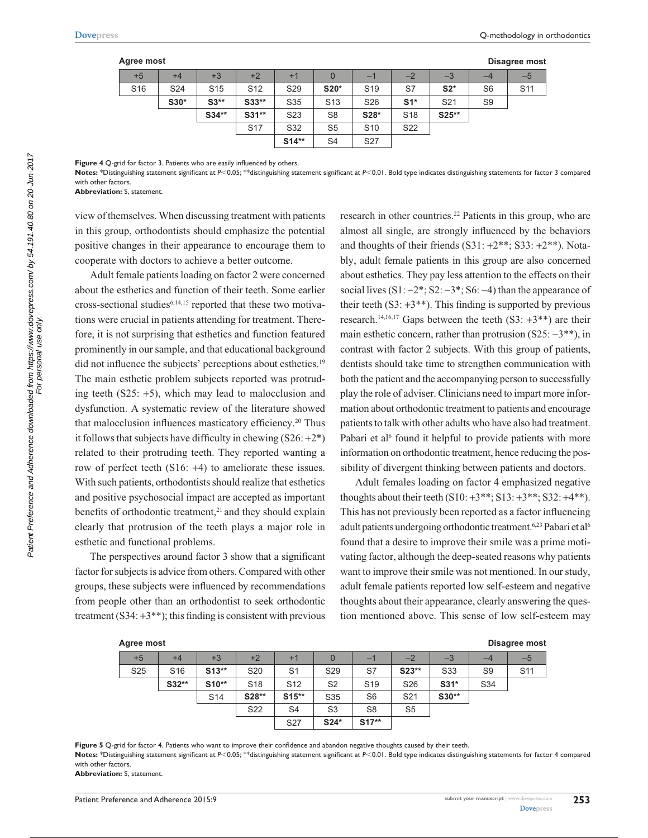#### **Agree most**

| gree most       |                 |                 |                 |                  |                 |                 |                 |                 |                | Disagree most   |
|-----------------|-----------------|-----------------|-----------------|------------------|-----------------|-----------------|-----------------|-----------------|----------------|-----------------|
| $+5$            | $+4$            | $+3$            | $+2$            | $+1$             |                 | -1              | $-2$            | $-3$            | -4             | $-5$            |
| S <sub>16</sub> | S <sub>24</sub> | S <sub>15</sub> | S <sub>12</sub> | S <sub>29</sub>  | $S20*$          | S <sub>19</sub> | S7              | $S2*$           | S <sub>6</sub> | S <sub>11</sub> |
|                 | $S30*$          | $S3**$          | $S33**$         | S35              | S <sub>13</sub> | S <sub>26</sub> | $S1*$           | S <sub>21</sub> | S <sub>9</sub> |                 |
|                 |                 | $S34**$         | $S31**$         | S <sub>2</sub> 3 | S <sub>8</sub>  | S28*            | S <sub>18</sub> | $S25**$         |                |                 |
|                 |                 |                 | <b>S17</b>      | S32              | S <sub>5</sub>  | S <sub>10</sub> | S <sub>22</sub> |                 |                |                 |
|                 |                 |                 |                 | $S14**$          | S <sub>4</sub>  | S <sub>27</sub> |                 |                 |                |                 |

Figure 4 Q-grid for factor 3. Patients who are easily influenced by others.

Notes: \*Distinguishing statement significant at *P<*0.05; \*\*distinguishing statement significant at *P<*0.01. Bold type indicates distinguishing statements for factor 3 compared with other factors.

**Abbreviation:** S, statement.

view of themselves. When discussing treatment with patients in this group, orthodontists should emphasize the potential positive changes in their appearance to encourage them to cooperate with doctors to achieve a better outcome.

Adult female patients loading on factor 2 were concerned about the esthetics and function of their teeth. Some earlier cross-sectional studies<sup>6,14,15</sup> reported that these two motivations were crucial in patients attending for treatment. Therefore, it is not surprising that esthetics and function featured prominently in our sample, and that educational background did not influence the subjects' perceptions about esthetics.<sup>19</sup> The main esthetic problem subjects reported was protruding teeth  $(S25: +5)$ , which may lead to malocclusion and dysfunction. A systematic review of the literature showed that malocclusion influences masticatory efficiency.20 Thus it follows that subjects have difficulty in chewing  $(S26: +2^*)$ related to their protruding teeth. They reported wanting a row of perfect teeth (S16: +4) to ameliorate these issues. With such patients, orthodontists should realize that esthetics and positive psychosocial impact are accepted as important benefits of orthodontic treatment,<sup>21</sup> and they should explain clearly that protrusion of the teeth plays a major role in esthetic and functional problems.

The perspectives around factor 3 show that a significant factor for subjects is advice from others. Compared with other groups, these subjects were influenced by recommendations from people other than an orthodontist to seek orthodontic treatment  $(S34: +3**)$ ; this finding is consistent with previous research in other countries.<sup>22</sup> Patients in this group, who are almost all single, are strongly influenced by the behaviors and thoughts of their friends  $(S31: +2^{**}; S33: +2^{**})$ . Notably, adult female patients in this group are also concerned about esthetics. They pay less attention to the effects on their social lives  $(S1: -2^*; S2: -3^*; S6: -4)$  than the appearance of their teeth  $(S3: +3^{**})$ . This finding is supported by previous research.<sup>14,16,17</sup> Gaps between the teeth (S3:  $+3**$ ) are their main esthetic concern, rather than protrusion  $(S25: -3**)$ , in contrast with factor 2 subjects. With this group of patients, dentists should take time to strengthen communication with both the patient and the accompanying person to successfully play the role of adviser. Clinicians need to impart more information about orthodontic treatment to patients and encourage patients to talk with other adults who have also had treatment. Pabari et al<sup>6</sup> found it helpful to provide patients with more information on orthodontic treatment, hence reducing the possibility of divergent thinking between patients and doctors.

Adult females loading on factor 4 emphasized negative thoughts about their teeth  $(S10: +3**; S13: +3**; S32: +4**).$ This has not previously been reported as a factor influencing adult patients undergoing orthodontic treatment.<sup>6,23</sup> Pabari et al<sup>6</sup> found that a desire to improve their smile was a prime motivating factor, although the deep-seated reasons why patients want to improve their smile was not mentioned. In our study, adult female patients reported low self-esteem and negative thoughts about their appearance, clearly answering the question mentioned above. This sense of low self-esteem may

| Agree most      |                 |                 |                 |                 |                 |                          |                 |         |                | Disagree most   |
|-----------------|-----------------|-----------------|-----------------|-----------------|-----------------|--------------------------|-----------------|---------|----------------|-----------------|
| $+5$            | $+4$            | $+3$            | $+2$            | $+1$            |                 | $\overline{\phantom{0}}$ | $-2$            | $-3$    |                | $-5$            |
| S <sub>25</sub> | S <sub>16</sub> | $S13**$         | S <sub>20</sub> | S <sub>1</sub>  | S <sub>29</sub> | S7                       | $S23**$         | S33     | S <sub>9</sub> | S <sub>11</sub> |
|                 | S32**           | $S10**$         | S <sub>18</sub> | S <sub>12</sub> | S <sub>2</sub>  | S <sub>19</sub>          | S <sub>26</sub> | $S31*$  | S34            |                 |
|                 |                 | S <sub>14</sub> | S28**           | $S15**$         | S35             | S <sub>6</sub>           | S <sub>21</sub> | $S30**$ |                |                 |
|                 |                 |                 | S <sub>22</sub> | S <sub>4</sub>  | S <sub>3</sub>  | S <sub>8</sub>           | S <sub>5</sub>  |         |                |                 |
|                 |                 |                 |                 | S <sub>27</sub> | $S24*$          | $S17**$                  |                 |         |                |                 |

**Figure 5** Q-grid for factor 4. Patients who want to improve their confidence and abandon negative thoughts caused by their teeth. Notes: \*Distinguishing statement significant at *P*<0.05; \*\*distinguishing statement significant at *P*<0.01. Bold type indicates distinguishing statements for factor 4 compared with other factors. **Abbreviation:** S, statement.

Patient Preference and Adherence downloaded from https://www.dovepress.com/ by 54.191.40.80 on 20-Jun-2017<br>For personal use only Patient Preference and Adherence downloaded from https://www.dovepress.com/ by 54.191.40.80 on 20-Jun-2017 For personal use only.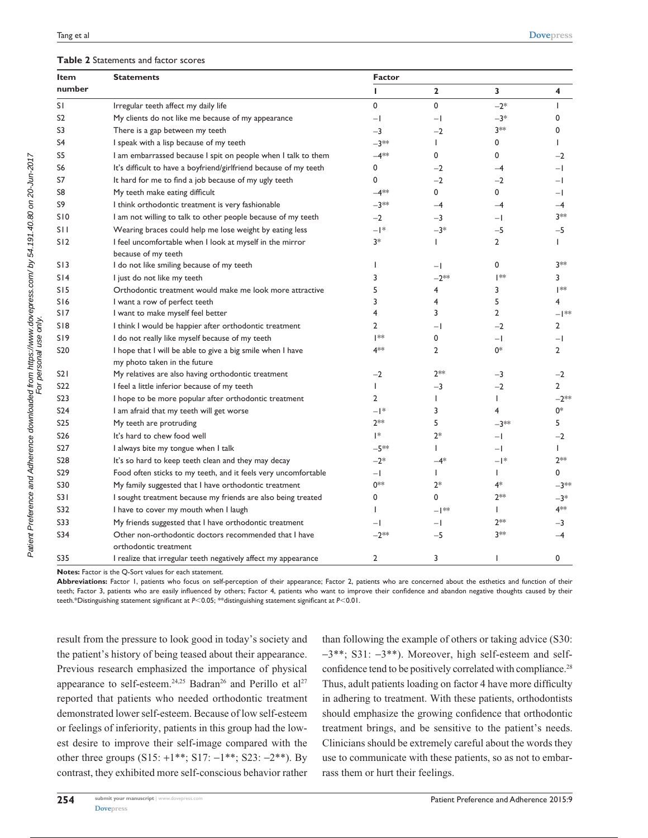#### **Table 2** Statements and factor scores

| Item             | <b>Statements</b>                                                              | <b>Factor</b>            |                |                |                |  |  |
|------------------|--------------------------------------------------------------------------------|--------------------------|----------------|----------------|----------------|--|--|
| number           |                                                                                | L                        | $\mathbf{2}$   | 3              | 4              |  |  |
| SΙ               | Irregular teeth affect my daily life                                           | 0                        | 0              | $-2*$          | $\mathbf{I}$   |  |  |
| S <sub>2</sub>   | My clients do not like me because of my appearance                             | $-1$                     | $-1$           | $-3*$          | 0              |  |  |
| S3               | There is a gap between my teeth                                                | $-3$                     | $-2$           | $3**$          | $\mathbf 0$    |  |  |
| S <sub>4</sub>   | I speak with a lisp because of my teeth                                        | $-3**$                   | L              | 0              | T              |  |  |
| S5               | I am embarrassed because I spit on people when I talk to them                  | $-4**$                   | 0              | 0              | $-2$           |  |  |
| S <sub>6</sub>   | It's difficult to have a boyfriend/girlfriend because of my teeth              | 0                        | $-2$           | $-4$           | $-1$           |  |  |
| S7               | It hard for me to find a job because of my ugly teeth                          | $\mathbf 0$              | $-2$           | $-2$           | $-1$           |  |  |
| S <sub>8</sub>   | My teeth make eating difficult                                                 | $-4**$                   | 0              | $\mathbf 0$    | $-1$           |  |  |
| S9               | I think orthodontic treatment is very fashionable                              | $-3**$                   | $-4$           | $-4$           | -4             |  |  |
| <b>S10</b>       | I am not willing to talk to other people because of my teeth                   | $-2$                     | $-3$           | $-1$           | 3**            |  |  |
| S11              | Wearing braces could help me lose weight by eating less                        | $  $ *                   | $-3*$          | $-5$           | -5             |  |  |
| S12              | I feel uncomfortable when I look at myself in the mirror                       | 3*                       | L              | $\overline{2}$ | L              |  |  |
|                  | because of my teeth                                                            |                          |                |                |                |  |  |
| S13              | I do not like smiling because of my teeth                                      | -1                       | $-1$           | $\mathbf 0$    | 3**            |  |  |
| S14              | I just do not like my teeth                                                    | 3                        | $-2**$         | **             | 3              |  |  |
| S15              | Orthodontic treatment would make me look more attractive                       | 5                        | 4              | 3              | **             |  |  |
| S16              | I want a row of perfect teeth                                                  | 3                        | 4              | 5              | 4              |  |  |
| S17              | I want to make myself feel better                                              | 4                        | 3              | $\overline{2}$ | $-$   $*$      |  |  |
| <b>SI8</b>       | I think I would be happier after orthodontic treatment                         | $\overline{2}$           | $-1$           | $-2$           | $\overline{2}$ |  |  |
| S19              | I do not really like myself because of my teeth                                | **                       | 0              | $-1$           | $-1$           |  |  |
| S <sub>20</sub>  | I hope that I will be able to give a big smile when I have                     | 4**                      | $\overline{2}$ | 0*             | 2              |  |  |
|                  | my photo taken in the future                                                   |                          |                |                |                |  |  |
| S21              | My relatives are also having orthodontic treatment                             | $-2$                     | $2**$          | $-3$           | $-2$           |  |  |
| S <sub>22</sub>  | I feel a little inferior because of my teeth                                   | $\overline{\phantom{a}}$ | $-3$           | $-2$           | $\overline{2}$ |  |  |
| S <sub>2</sub> 3 | I hope to be more popular after orthodontic treatment                          | $\overline{2}$           | L              | $\overline{1}$ | $-2**$         |  |  |
| S <sub>24</sub>  | I am afraid that my teeth will get worse                                       | $  $ *                   | 3              | 4              | 0*             |  |  |
| <b>S25</b>       | My teeth are protruding                                                        | $2**$                    | 5              | $-3**$         | 5              |  |  |
| S <sub>26</sub>  | It's hard to chew food well                                                    | $\mathsf{I}^*$           | $2*$           | $-1$           | $-2$           |  |  |
| S <sub>27</sub>  | I always bite my tongue when I talk                                            | $-5**$                   | L              | $-1$           | L              |  |  |
| <b>S28</b>       | It's so hard to keep teeth clean and they may decay                            | $-2*$                    | $-4*$          | $  $ *         | $2**$          |  |  |
| S <sub>29</sub>  | Food often sticks to my teeth, and it feels very uncomfortable                 | $-1$                     | L              | $\mathbf{I}$   | 0              |  |  |
| S30              | My family suggested that I have orthodontic treatment                          | 0**                      | $2*$           | $4*$           | $-3**$         |  |  |
| S31              | I sought treatment because my friends are also being treated                   | 0                        | 0              | $2**$          | $-3*$          |  |  |
| S32              | I have to cover my mouth when I laugh                                          | 1                        | $-1**$         | ı              | 4**            |  |  |
| S33              | My friends suggested that I have orthodontic treatment                         | $-1$                     | $-1$           | $2**$          | $-3$           |  |  |
| S34              | Other non-orthodontic doctors recommended that I have<br>orthodontic treatment | $-2**$                   | $-5$           | $3**$          | -4             |  |  |
| <b>S35</b>       | I realize that irregular teeth negatively affect my appearance                 | $\overline{2}$           | 3              | $\mathbf{I}$   | 0              |  |  |

**Notes:** Factor is the Q-Sort values for each statement.

**Abbreviations:** Factor 1, patients who focus on self-perception of their appearance; Factor 2, patients who are concerned about the esthetics and function of their teeth; Factor 3, patients who are easily influenced by others; Factor 4, patients who want to improve their confidence and abandon negative thoughts caused by their teeth.\*Distinguishing statement significant at *P*<0.05; \*\*distinguishing statement significant at *P*<0.01.

result from the pressure to look good in today's society and the patient's history of being teased about their appearance. Previous research emphasized the importance of physical appearance to self-esteem.<sup>24,25</sup> Badran<sup>26</sup> and Perillo et al<sup>27</sup> reported that patients who needed orthodontic treatment demonstrated lower self-esteem. Because of low self-esteem or feelings of inferiority, patients in this group had the lowest desire to improve their self-image compared with the other three groups  $(S15: +1***; S17: -1***; S23: -2***)$ . By contrast, they exhibited more self-conscious behavior rather than following the example of others or taking advice (S30:  $-3$ \*\*; S31:  $-3$ \*\*). Moreover, high self-esteem and selfconfidence tend to be positively correlated with compliance.<sup>28</sup> Thus, adult patients loading on factor 4 have more difficulty in adhering to treatment. With these patients, orthodontists should emphasize the growing confidence that orthodontic treatment brings, and be sensitive to the patient's needs. Clinicians should be extremely careful about the words they use to communicate with these patients, so as not to embarrass them or hurt their feelings.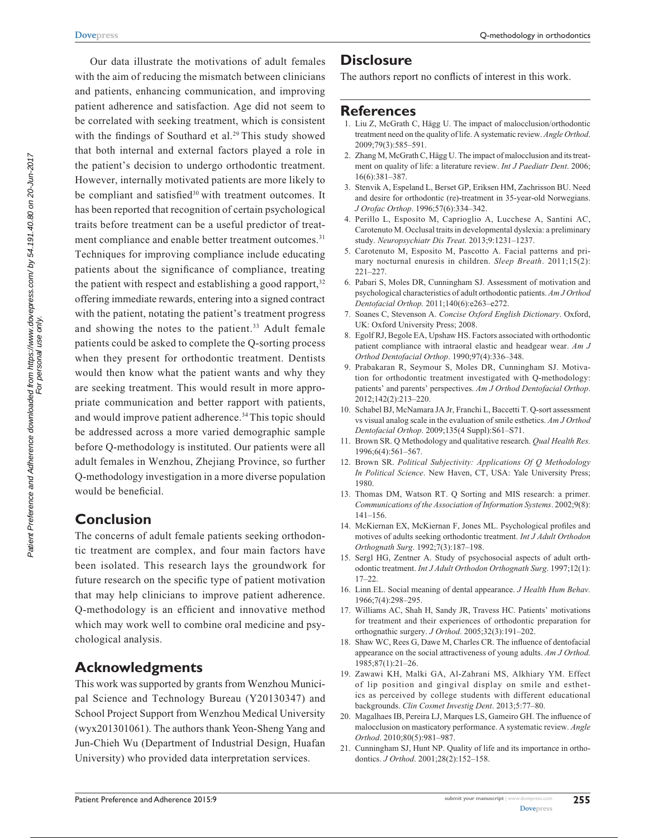Our data illustrate the motivations of adult females with the aim of reducing the mismatch between clinicians and patients, enhancing communication, and improving patient adherence and satisfaction. Age did not seem to be correlated with seeking treatment, which is consistent with the findings of Southard et al.<sup>29</sup> This study showed that both internal and external factors played a role in the patient's decision to undergo orthodontic treatment. However, internally motivated patients are more likely to be compliant and satisfied<sup>30</sup> with treatment outcomes. It has been reported that recognition of certain psychological traits before treatment can be a useful predictor of treatment compliance and enable better treatment outcomes.<sup>31</sup> Techniques for improving compliance include educating patients about the significance of compliance, treating the patient with respect and establishing a good rapport, $32$ offering immediate rewards, entering into a signed contract with the patient, notating the patient's treatment progress and showing the notes to the patient.<sup>33</sup> Adult female patients could be asked to complete the Q-sorting process when they present for orthodontic treatment. Dentists would then know what the patient wants and why they are seeking treatment. This would result in more appropriate communication and better rapport with patients, and would improve patient adherence.<sup>34</sup> This topic should be addressed across a more varied demographic sample before Q-methodology is instituted. Our patients were all adult females in Wenzhou, Zhejiang Province, so further Q-methodology investigation in a more diverse population would be beneficial.

## **Conclusion**

The concerns of adult female patients seeking orthodontic treatment are complex, and four main factors have been isolated. This research lays the groundwork for future research on the specific type of patient motivation that may help clinicians to improve patient adherence. Q-methodology is an efficient and innovative method which may work well to combine oral medicine and psychological analysis.

## **Acknowledgments**

This work was supported by grants from Wenzhou Municipal Science and Technology Bureau (Y20130347) and School Project Support from Wenzhou Medical University (wyx201301061). The authors thank Yeon-Sheng Yang and Jun-Chieh Wu (Department of Industrial Design, Huafan University) who provided data interpretation services.

## **Disclosure**

The authors report no conflicts of interest in this work.

## **References**

- 1. Liu Z, McGrath C, Hӓgg U. The impact of malocclusion/orthodontic treatment need on the quality of life. A systematic review. *Angle Orthod*. 2009;79(3):585–591.
- 2. Zhang M, McGrath C, Hӓgg U. The impact of malocclusion and its treatment on quality of life: a literature review. *Int J Paediatr Dent*. 2006; 16(6):381–387.
- 3. Stenvik A, Espeland L, Berset GP, Eriksen HM, Zachrisson BU. Need and desire for orthodontic (re)-treatment in 35-year-old Norwegians. *J Orofac Orthop*. 1996;57(6):334–342.
- 4. Perillo L, Esposito M, Caprioglio A, Lucchese A, Santini AC, Carotenuto M. Occlusal traits in developmental dyslexia: a preliminary study. *Neuropsychiatr Dis Treat*. 2013;9:1231–1237.
- 5. Carotenuto M, Esposito M, Pascotto A. Facial patterns and primary nocturnal enuresis in children. *Sleep Breath*. 2011;15(2): 221–227.
- 6. Pabari S, Moles DR, Cunningham SJ. Assessment of motivation and psychological characteristics of adult orthodontic patients. *Am J Orthod Dentofacial Orthop.* 2011;140(6):e263–e272.
- 7. Soanes C, Stevenson A. *Concise Oxford English Dictionary*. Oxford, UK: Oxford University Press; 2008.
- 8. Egolf RJ, Begole EA, Upshaw HS. Factors associated with orthodontic patient compliance with intraoral elastic and headgear wear. *Am J Orthod Dentofacial Orthop*. 1990;97(4):336–348.
- 9. Prabakaran R, Seymour S, Moles DR, Cunningham SJ. Motivation for orthodontic treatment investigated with Q-methodology: patients' and parents' perspectives. *Am J Orthod Dentofacial Orthop*. 2012;142(2):213–220.
- 10. Schabel BJ, McNamara JA Jr, Franchi L, Baccetti T. Q-sort assessment vs visual analog scale in the evaluation of smile esthetics. *Am J Orthod Dentofacial Orthop*. 2009;135(4 Suppl):S61–S71.
- 11. Brown SR. Q Methodology and qualitative research. *Qual Health Res.*  1996;6(4):561–567.
- 12. Brown SR. *Political Subjectivity: Applications Of Q Methodology In Political Science*. New Haven, CT, USA: Yale University Press; 1980.
- 13. Thomas DM, Watson RT. Q Sorting and MIS research: a primer. *Communications of the Association of Information Systems*. 2002;9(8): 141–156.
- 14. McKiernan EX, McKiernan F, Jones ML. Psychological profiles and motives of adults seeking orthodontic treatment. *Int J Adult Orthodon Orthognath Surg*. 1992;7(3):187–198.
- 15. Sergl HG, Zentner A. Study of psychosocial aspects of adult orthodontic treatment. *Int J Adult Orthodon Orthognath Surg*. 1997;12(1): 17–22.
- 16. Linn EL. Social meaning of dental appearance. *J Health Hum Behav.* 1966;7(4):298–295.
- 17. Williams AC, Shah H, Sandy JR, Travess HC. Patients' motivations for treatment and their experiences of orthodontic preparation for orthognathic surgery. *J Orthod*. 2005;32(3):191–202.
- 18. Shaw WC, Rees G, Dawe M, Charles CR. The influence of dentofacial appearance on the social attractiveness of young adults. *Am J Orthod.* 1985;87(1):21–26.
- 19. Zawawi KH, Malki GA, Al-Zahrani MS, Alkhiary YM. Effect of lip position and gingival display on smile and esthetics as perceived by college students with different educational backgrounds. *Clin Cosmet Investig Dent*. 2013;5:77–80.
- 20. Magalhaes IB, Pereira LJ, Marques LS, Gameiro GH. The influence of malocclusion on masticatory performance. A systematic review. *Angle Orthod*. 2010;80(5):981–987.
- 21. Cunningham SJ, Hunt NP. Quality of life and its importance in orthodontics. *J Orthod*. 2001;28(2):152–158.